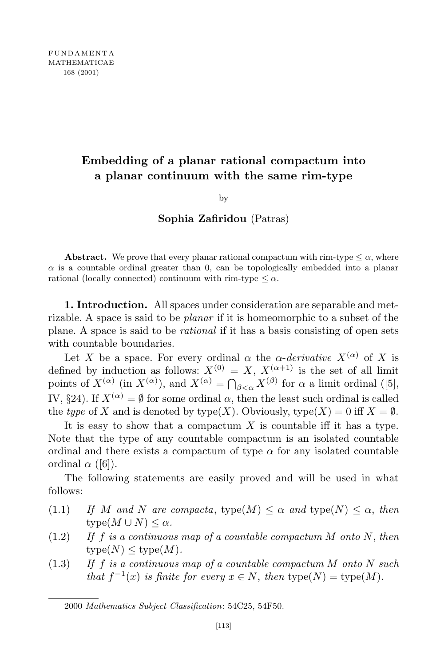# **Embedding of a planar rational compactum into a planar continuum with the same rim-type**

by

# **Sophia Zafiridou** (Patras)

**Abstract.** We prove that every planar rational compactum with rim-type  $\leq \alpha$ , where  $\alpha$  is a countable ordinal greater than 0, can be topologically embedded into a planar rational (locally connected) continuum with rim-type  $\leq \alpha$ .

**1. Introduction.** All spaces under consideration are separable and metrizable. A space is said to be *planar* if it is homeomorphic to a subset of the plane. A space is said to be *rational* if it has a basis consisting of open sets with countable boundaries.

Let *X* be a space. For every ordinal  $\alpha$  the  $\alpha$ -*derivative*  $X^{(\alpha)}$  of *X* is defined by induction as follows:  $X^{(0)} = X$ ,  $X^{(\alpha+1)}$  is the set of all limit points of  $X^{(\alpha)}$  (in  $X^{(\alpha)}$ ), and  $X^{(\alpha)} = \bigcap_{\beta < \alpha} X^{(\beta)}$  for  $\alpha$  a limit ordinal ([5], IV, §24). If  $X^{(\alpha)} = \emptyset$  for some ordinal  $\alpha$ , then the least such ordinal is called the *type* of *X* and is denoted by  $type(X)$ . Obviously,  $type(X) = 0$  iff  $X = \emptyset$ .

It is easy to show that a compactum *X* is countable iff it has a type. Note that the type of any countable compactum is an isolated countable ordinal and there exists a compactum of type  $\alpha$  for any isolated countable ordinal  $\alpha$  ([6]).

The following statements are easily proved and will be used in what follows:

- (1.1) *If M* and *N* are *compacta*,  $type(M) \leq \alpha$  *and*  $type(N) \leq \alpha$ , *then*  $type(M \cup N) \leq \alpha$ *.*
- (1.2) *If f is a continuous map of a countable compactum M onto N*, *then*  $type(N) \leq type(M)$ .
- (1.3) *If f is a continuous map of a countable compactum M onto N such that*  $f^{-1}(x)$  *is finite for every*  $x \in N$ , *then*  $type(N) = type(M)$ .

<sup>2000</sup> *Mathematics Subject Classification*: 54C25, 54F50.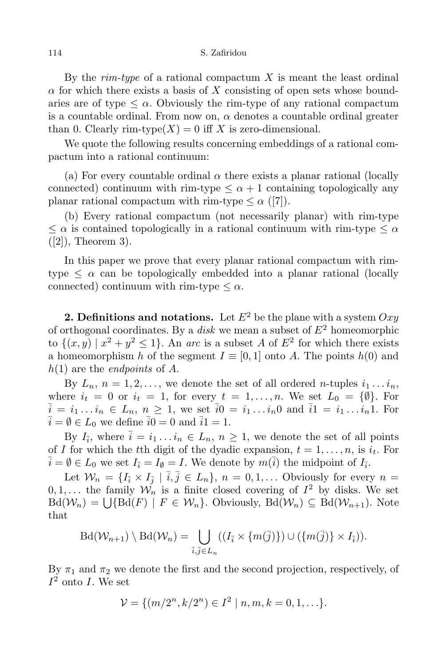By the *rim-type* of a rational compactum *X* is meant the least ordinal  $\alpha$  for which there exists a basis of *X* consisting of open sets whose boundaries are of type  $\leq \alpha$ . Obviously the rim-type of any rational compactum is a countable ordinal. From now on,  $\alpha$  denotes a countable ordinal greater than 0. Clearly rim-type( $X$ ) = 0 iff  $X$  is zero-dimensional.

We quote the following results concerning embeddings of a rational compactum into a rational continuum:

(a) For every countable ordinal  $\alpha$  there exists a planar rational (locally connected) continuum with rim-type  $\lt \alpha + 1$  containing topologically any planar rational compactum with rim-type  $\leq \alpha$  ([7]).

(b) Every rational compactum (not necessarily planar) with rim-type  $\leq \alpha$  is contained topologically in a rational continuum with rim-type  $\leq \alpha$  $([2])$ , Theorem 3).

In this paper we prove that every planar rational compactum with rimtype  $\leq \alpha$  can be topologically embedded into a planar rational (locally connected) continuum with rim-type  $\leq \alpha$ .

**2. Definitions and notations.** Let  $E^2$  be the plane with a system  $Oxy$ of orthogonal coordinates. By a *disk* we mean a subset of *E*<sup>2</sup> homeomorphic to  $\{(x, y) \mid x^2 + y^2 \le 1\}$ . An *arc* is a subset *A* of  $E^2$  for which there exists a homeomorphism *h* of the segment  $I \equiv [0, 1]$  onto *A*. The points  $h(0)$  and *h*(1) are the *endpoints* of *A*.

By  $L_n$ ,  $n = 1, 2, \ldots$ , we denote the set of all ordered *n*-tuples  $i_1 \ldots i_n$ , where  $i_t = 0$  or  $i_t = 1$ , for every  $t = 1, ..., n$ . We set  $L_0 = \{\emptyset\}$ . For  $\bar{i} = i_1 \dots i_n \in L_n$ ,  $n \geq 1$ , we set  $\bar{i}0 = i_1 \dots i_n 0$  and  $\bar{i}1 = i_1 \dots i_n 1$ . For  $\overline{i} = \emptyset \in L_0$  we define  $\overline{i}0 = 0$  and  $\overline{i}1 = 1$ .

By  $I_{\overline{i}}$ , where  $\overline{i} = i_1 \dots i_n \in L_n$ ,  $n \geq 1$ , we denote the set of all points of *I* for which the *t*th digit of the dyadic expansion,  $t = 1, \ldots, n$ , is  $i_t$ . For  $\overline{i} = \emptyset \in L_0$  we set  $I_{\overline{i}} = I_{\emptyset} = I$ . We denote by  $m(\overline{i})$  the midpoint of  $I_{\overline{i}}$ .

Let  $W_n = \{I_{\overline{i}} \times I_{\overline{j}} \mid \overline{i}, \overline{j} \in L_n\}, n = 0, 1, ...$  Obviously for every  $n =$  $0, 1, \ldots$  the family  $\mathcal{W}_n$  is a finite closed covering of  $I^2$  by disks. We set  $Bd(\mathcal{W}_n) = \bigcup \{ Bd(F) \mid F \in \mathcal{W}_n \}$ . Obviously,  $Bd(\mathcal{W}_n) \subseteq Bd(\mathcal{W}_{n+1})$ . Note that

$$
\text{Bd}(\mathcal{W}_{n+1}) \setminus \text{Bd}(\mathcal{W}_n) = \bigcup_{\overline{i}, \overline{j} \in L_n} ((I_{\overline{i}} \times \{m(\overline{j})\}) \cup (\{m(\overline{j})\} \times I_{\overline{i}})).
$$

By  $\pi_1$  and  $\pi_2$  we denote the first and the second projection, respectively, of  $I^2$  onto *I*. We set

$$
\mathcal{V} = \{ (m/2^n, k/2^n) \in I^2 \mid n, m, k = 0, 1, \ldots \}.
$$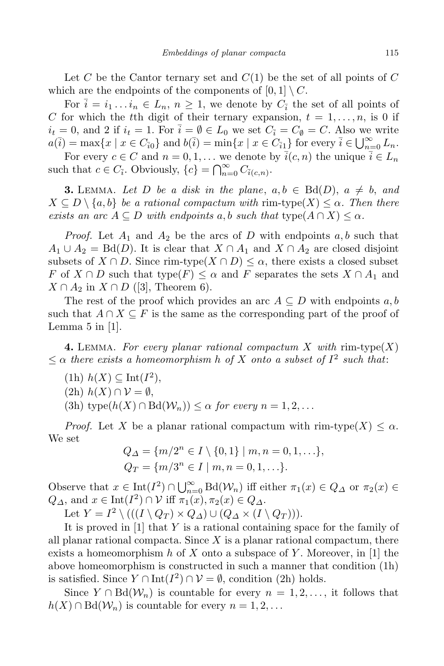Let *C* be the Cantor ternary set and *C*(1) be the set of all points of *C* which are the endpoints of the components of  $[0, 1] \setminus C$ .

For  $\overline{i} = i_1 \dots i_n \in L_n$ ,  $n \geq 1$ , we denote by  $C_{\overline{i}}$  the set of all points of *C* for which the *t*th digit of their ternary expansion,  $t = 1, \ldots, n$ , is 0 if  $i_t = 0$ , and 2 if  $i_t = 1$ . For  $\overline{i} = \emptyset \in L_0$  we set  $C_{\overline{i}} = C_{\emptyset} = C$ . Also we write  $a(\overline{i}) = \max\{x \mid x \in C_{\overline{i}0}\}\$ and  $b(\overline{i}) = \min\{x \mid x \in C_{\overline{i}1}\}\$ for every  $\overline{i} \in \bigcup_{n=0}^{\infty} L_n$ .

For every  $c \in C$  and  $n = 0, 1, \ldots$  we denote by  $\overline{i}(c, n)$  the unique  $\overline{i} \in L_n$ such that  $c \in C_{\bar{i}}$ . Obviously,  $\{c\} = \bigcap_{n=0}^{\infty} C_{\bar{i}(c,n)}$ .

**3.** LEMMA. Let D be a disk in the plane,  $a, b \in \text{Bd}(D)$ ,  $a \neq b$ , and  $X \subseteq D \setminus \{a, b\}$  *be a rational compactum with* rim-type( $X \leq \alpha$ *. Then there exists* an  $\text{arc } A \subseteq D$  *with endpoints*  $a, b$  *such that*  $\text{type}(A \cap X) \leq \alpha$ .

*Proof.* Let  $A_1$  and  $A_2$  be the arcs of *D* with endpoints  $a, b$  such that  $A_1 \cup A_2 = \text{Bd}(D)$ . It is clear that  $X \cap A_1$  and  $X \cap A_2$  are closed disjoint subsets of  $X \cap D$ . Since rim-type $(X \cap D) \leq \alpha$ , there exists a closed subset *F* of  $X \cap D$  such that type( $F$ )  $\leq \alpha$  and  $F$  separates the sets  $X \cap A_1$  and  $X \cap A_2$  in  $X \cap D$  ([3], Theorem 6).

The rest of the proof which provides an arc  $A \subseteq D$  with endpoints  $a, b$ such that  $A \cap X \subseteq F$  is the same as the corresponding part of the proof of Lemma  $5$  in  $|1|$ .

**4.** LEMMA. For every planar rational compactum X with rim-type(X)  $\leq$   $\alpha$  *there exists a homeomorphism h of X onto a subset of*  $I^2$  *such that*:

- $(h)$   $h(X) \subseteq \text{Int}(I^2),$
- (2h) *h*(*X*) *∩ V* = *∅*,
- $(3h) \text{ type}(h(X) \cap \text{Bd}(\mathcal{W}_n)) \leq \alpha$  *for every*  $n = 1, 2, \ldots$

*Proof.* Let *X* be a planar rational compactum with rim-type( $X$ )  $\leq \alpha$ . We set

$$
Q_{\Delta} = \{m/2^{n} \in I \setminus \{0, 1\} \mid m, n = 0, 1, \ldots\},
$$
  

$$
Q_{T} = \{m/3^{n} \in I \mid m, n = 0, 1, \ldots\}.
$$

Observe that  $x \in \text{Int}(I^2) \cap \bigcup_{n=0}^{\infty} \text{Bd}(\mathcal{W}_n)$  iff either  $\pi_1(x) \in Q_{\Delta}$  or  $\pi_2(x) \in$  $Q_{\Delta}$ , and  $x \in \text{Int}(I^2) \cap \mathcal{V}$  iff  $\pi_1(x), \pi_2(x) \in Q_{\Delta}$ .

Let  $Y = I^2 \setminus (((I \setminus Q_T) \times Q_\Delta) \cup (Q_\Delta \times (I \setminus Q_T))).$ 

It is proved in [1] that *Y* is a rational containing space for the family of all planar rational compacta. Since *X* is a planar rational compactum, there exists a homeomorphism *h* of *X* onto a subspace of *Y* . Moreover, in [1] the above homeomorphism is constructed in such a manner that condition (1h) is satisfied. Since  $Y \cap \text{Int}(I^2) \cap \mathcal{V} = \emptyset$ , condition (2h) holds.

Since  $Y \cap Bd(\mathcal{W}_n)$  is countable for every  $n = 1, 2, \ldots$ , it follows that  $h(X) \cap \text{Bd}(\mathcal{W}_n)$  is countable for every  $n = 1, 2, \ldots$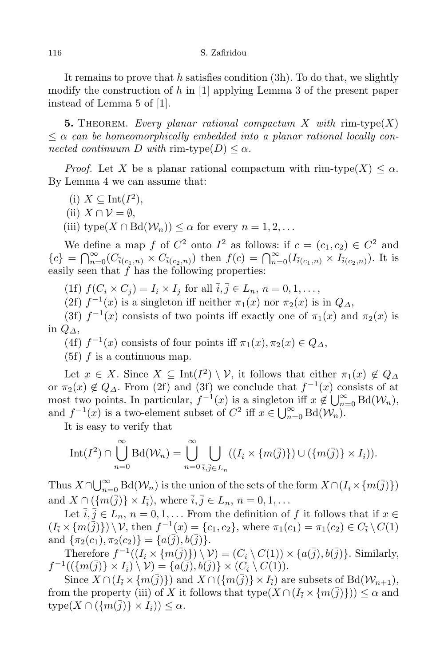It remains to prove that *h* satisfies condition (3h). To do that, we slightly modify the construction of *h* in [1] applying Lemma 3 of the present paper instead of Lemma 5 of [1].

**5.** THEOREM. *Every planar rational compactum X with*  $\text{rim-type}(X)$ *≤ α can be homeomorphically embedded into a planar rational locally connected continuum D with* rim-type $(D) \leq \alpha$ *.* 

*Proof.* Let *X* be a planar rational compactum with rim-type( $X$ )  $\lt \alpha$ . By Lemma 4 we can assume that:

- (i) *X ⊆* Int(*I* 2 ),
- $(iii)$  *X* ∩  $V = ∅$ .

(iii) type $(X \cap \text{Bd}(\mathcal{W}_n)) \leq \alpha$  for every  $n = 1, 2, \ldots$ 

We define a map *f* of  $C^2$  onto  $I^2$  as follows: if  $c = (c_1, c_2) \in C^2$  and  ${c}$  =  $\bigcap_{n=0}^{\infty}$  ( $C_{\bar{i}(c_1,n)} \times C_{\bar{i}(c_2,n)}$ ) then  $f(c) = \bigcap_{n=0}^{\infty} (I_{\bar{i}(c_1,n)} \times I_{\bar{i}(c_2,n)})$ . It is easily seen that *f* has the following properties:

(1f)  $f(C_{\bar{i}} \times C_{\bar{j}}) = I_{\bar{i}} \times I_{\bar{j}}$  for all  $\bar{i}, \bar{j} \in L_n$ ,  $n = 0, 1, ...,$ 

(2f)  $f^{-1}(x)$  is a singleton iff neither  $\pi_1(x)$  nor  $\pi_2(x)$  is in  $Q_{\Delta}$ ,

(3f)  $f^{-1}(x)$  consists of two points iff exactly one of  $\pi_1(x)$  and  $\pi_2(x)$  is in *Q∆*,

(4f)  $f^{-1}(x)$  consists of four points iff  $\pi_1(x), \pi_2(x) \in Q_\Delta$ ,

 $(5f)$  *f* is a continuous map.

Let  $x \in X$ . Since  $X \subseteq \text{Int}(I^2) \setminus \mathcal{V}$ , it follows that either  $\pi_1(x) \notin Q_{\Delta}$ or  $\pi_2(x) \notin Q_\Delta$ . From (2f) and (3f) we conclude that  $f^{-1}(x)$  consists of at most two points. In particular,  $f^{-1}(x)$  is a singleton iff  $x \notin \bigcup_{n=0}^{\infty} \text{Bd}(\mathcal{W}_n)$ , and  $f^{-1}(x)$  is a two-element subset of  $C^2$  iff  $x \in \bigcup_{n=0}^{\infty} \text{Bd}(\mathcal{W}_n)$ .

It is easy to verify that

$$
\mathrm{Int}(I^2)\cap\bigcup_{n=0}^{\infty}\mathrm{Bd}(\mathcal{W}_n)=\bigcup_{n=0}^{\infty}\bigcup_{\overline{i},\overline{j}\in L_n}((I_{\overline{i}}\times\{m(\overline{j})\})\cup(\{m(\overline{j})\}\times I_{\overline{i}})).
$$

Thus  $X \cap \bigcup_{n=0}^{\infty} \text{Bd}(\mathcal{W}_n)$  is the union of the sets of the form  $X \cap (I_{\bar{i}} \times \{m(\bar{j})\})$ and  $X \cap (\{m(\bar{j})\} \times I_{\bar{i}}),$  where  $\bar{i}, \bar{j} \in L_n, n = 0, 1, ...$ 

Let  $\overline{i}, \overline{j} \in L_n$ ,  $n = 0, 1, \ldots$  From the definition of  $f$  it follows that if  $x \in$  $(I_{\overline{i}} \times \{m(\overline{j})\}) \setminus \mathcal{V}$ , then  $f^{-1}(x) = \{c_1, c_2\}$ , where  $\pi_1(c_1) = \pi_1(c_2) \in C_{\overline{i}} \setminus C(1)$ and  $\{\pi_2(c_1), \pi_2(c_2)\} = \{a(\bar{j}), b(\bar{j})\}.$ 

Therefore  $f^{-1}((I_{\overline{i}} \times \{m(\overline{j})\}) \setminus \mathcal{V}) = (C_{\overline{i}} \setminus C(1)) \times \{a(\overline{j}), b(\overline{j})\}$ . Similarly, *f*<sup>-1</sup>(({ $m(\overline{j})$ } × *I*<sub>i</sub><sup>}</sup>)  $\setminus \mathcal{V}$ ) = { $a(\overline{j})$ ,  $b(\overline{j})$ } × ( $C_{\overline{i}} \setminus C(1)$ ).

Since  $X \cap (I_{\bar{i}} \times \{m(\bar{j})\})$  and  $X \cap (\{m(\bar{j})\} \times I_{\bar{i}})$  are subsets of Bd( $\mathcal{W}_{n+1}$ ), from the property (iii) of *X* it follows that  $type(X \cap (I_{\bar{i}} \times \{m(\bar{j})\})) \leq \alpha$  and  $\textrm{type}(X \cap (\{m(\overline{j})\} \times I_{\overline{i}})) \leq \alpha.$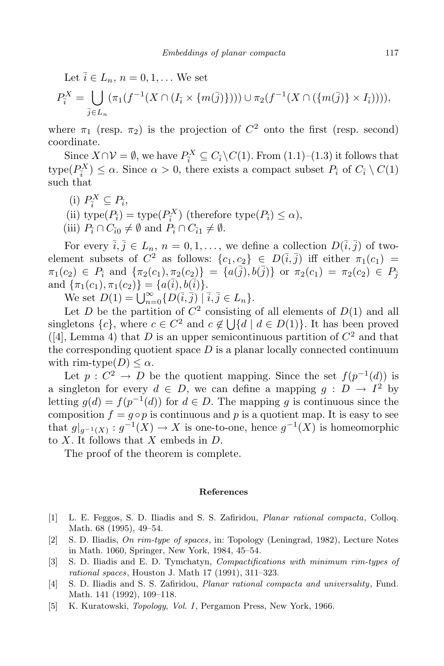Let  $\overline{i} \in L_n$ ,  $n = 0, 1, \ldots$  We set

$$
P_{\bar{i}}^X = \bigcup_{\bar{j} \in L_n} (\pi_1(f^{-1}(X \cap (I_{\bar{i}} \times \{m(\bar{j})\}))) \cup \pi_2(f^{-1}(X \cap (\{m(\bar{j})\} \times I_{\bar{i}}))))
$$

where  $\pi_1$  (resp.  $\pi_2$ ) is the projection of  $C^2$  onto the first (resp. second) coordinate.

Since  $X \cap \mathcal{V} = \emptyset$ , we have  $P_i^X \subseteq C_i \setminus C(1)$ . From  $(1.1)$ – $(1.3)$  it follows that  $\text{type}(P_i^X) \leq \alpha$ . Since  $\alpha > 0$ , there exists a compact subset  $P_i$  of  $C_i \setminus C(1)$ such that

- $\left(i\right) P_{\overline{i}}^X \subseteq P_{\overline{i}}$
- $(i)$  type $(P_i)$  = type $(P_i^X)$  (therefore type $(P_i) \leq \alpha$ ),
- $(iii)$   $P_{\overline{i}} \cap C_{\overline{i}0} \neq \emptyset$  and  $P_{\overline{i}} \cap C_{\overline{i}1} \neq \emptyset$ .

For every  $\bar{i}, \bar{j} \in L_n$ ,  $n = 0, 1, \ldots$ , we define a collection  $D(\bar{i}, \bar{j})$  of twoelement subsets of  $C^2$  as follows:  $\{c_1, c_2\} \in D(\overline{i}, \overline{j})$  iff either  $\pi_1(c_1)$  =  $\pi_1(c_2) \in P_{\tilde{i}}$  and  $\{\pi_2(c_1), \pi_2(c_2)\} = \{a(\overline{j}), b(\overline{j})\}$  or  $\pi_2(c_1) = \pi_2(c_2) \in P_{\tilde{i}}$  $\text{and } \{\pi_1(c_1), \pi_1(c_2)\} = \{a(\overline{i}), b(\overline{i})\}.$ 

We set  $D(1) = \bigcup_{n=0}^{\infty} {D(\bar{i}, \bar{j}) \mid \bar{i}, \bar{j} \in L_n}.$ 

Let *D* be the partition of  $C^2$  consisting of all elements of  $D(1)$  and all singletons  $\{c\}$ , where  $c \in C^2$  and  $c \notin \bigcup \{d \mid d \in D(1)\}$ . It has been proved  $([4], \text{ Lemma 4})$  that *D* is an upper semicontinuous partition of  $C^2$  and that the corresponding quotient space  $D$  is a planar locally connected continuum with rim-type $(D) \leq \alpha$ .

Let  $p: C^2 \to D$  be the quotient mapping. Since the set  $f(p^{-1}(d))$  is a singleton for every  $d \in D$ , we can define a mapping  $g : D \to I^2$  by letting  $g(d) = f(p^{-1}(d))$  for  $d \in D$ . The mapping *g* is continuous since the composition  $f = g \circ p$  is continuous and p is a quotient map. It is easy to see that  $g|_{g^{-1}(X)} : g^{-1}(X) \to X$  is one-to-one, hence  $g^{-1}(X)$  is homeomorphic to *X*. It follows that *X* embeds in *D*.

The proof of the theorem is complete.

### **References**

- [1] L. E. Feggos, S. D. Iliadis and S. S. Zafiridou, *Planar rational compacta*, Colloq. Math. 68 (1995), 49–54.
- [2] S. D. Iliadis, *On rim-type of spaces*, in: Topology (Leningrad, 1982), Lecture Notes in Math. 1060, Springer, New York, 1984, 45–54.
- [3] S. D. Iliadis and E. D. Tymchatyn, *Compactifications with minimum rim-types of rational spaces*, Houston J. Math 17 (1991), 311–323.
- [4] S. D. Iliadis and S. S. Zafiridou, *Planar rational compacta and universality*, Fund. Math. 141 (1992), 109–118.
- [5] K. Kuratowski, *Topology, Vol. I*, Pergamon Press, New York, 1966.